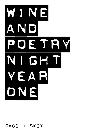

# SAGE LISKEY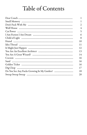# Table of Contents

| 1              |
|----------------|
| 1              |
| $\overline{c}$ |
| 4              |
| 5              |
| 6              |
| 8              |
| 10             |
| 11             |
| 12             |
| 13             |
| 14             |
| 16             |
| 16             |
| 16             |
| 17             |
| 18             |
| 20             |
|                |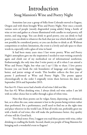# Introduction Snug Mansion's Wine and Poetry Night

Sometime last year a group of folks from Colorado moved to Eugene, Oregon and with them brought Wine and Poetry Night. Now once a month various sorts of people (mostly disgruntled young adults) bring a bottle of wine or two and gather at a house illuminated with candles to read poetry, tell stories, and sing songs. You can drink to good poetry, you can drink to bad poetry, you can drink to whatever the fuck that just was which definitely could not possibly be considered poetry, or you can decline to drink at all. Without competition or stylistic limitations, the event is a lovely and safe space to share words in, especially with a glass of wine in hand.

It had been many years since I last wrote poetry. Wine and Poetry Night's atmosphere gave me the inspiration I needed to start writing creatively again and climb out of my methodical rut of informational nonfiction. Embarrassingly, the only time that I write poetry at all is when I can attend a Wine and Poetry Night, but what can I say? I like to share. I love poetry because you can break the rule boundaries of language and create bigger, better, and juicier strings of words. This booklet collects the first year of poems I performed at Wine and Poetry Night. The poems appear chronologically in the order I originally wrote them between the dates of September 2014 and September 2015.

Fun fact #1: I have never had a bottle of red wine I did not like.

Fun fact #2: When drinking wine, I always drink red wine unless I am left with no other choice but to suffer through a glass of white wine.

Note that these poems can be vulgar, funny, depressing, or whimsical, but, as is often the case, some amount is lost to the poems being written rather than performed. For a performance, you'll need to find me at the right time and place wherever in the world I am. If that all works out, preferably greet me with a bottle of red wine; this will make the performance better. Any quality of wine will do. Good luck.

Two final notes: First, I suggest you read these poems with wine, either drinking or cradling the bottle. Second, thank you people of Snug Mansion for bringing such a wonderful event to Eugene!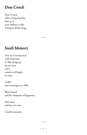#### Dear Couch

Dear Couch, After a long hard day dare say I your embrace is like A hug on all the drugs

 $\sim\sim\sim$ 

# Smell Memory

This air is intoxicated with memories, it's like things go up my nose and a camera reel begins to turn;

Coffee and mornings as a child.

Warm bread and the dumpster of baguettes.

Fish sauce and my ex's cunt.

I smell memories.

 $\sim\!\sim\!\sim$ 

 $\sim$  1  $\sim$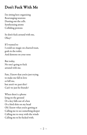# Don't Fuck With Me

I'm sitting here organizing Rearranging neurons Dusting out the cells. Synthesizing atoms Colliding protons

So don't fuck around with me, Okay?

If I wanted to I could see magic on charred toast, gods in the toilet, And demons on your nose

But today, No one's going to fuck around with me.

Fate, I know that you're just trying to make me fall in love or kill me, but aren't we past this? Can't we just be friends?

When there's a phone lying on the ground Or a key falls out of a box Or a bird shits on my head Oh I know what you're getting at Calling me to see something deeper Calling me to sway with the winds Calling me to be fucked with.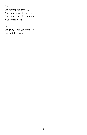Fate,

I'm holding you tenderly, And sometimes I'll listen to And sometimes I'll follow your every weird word

But today, I'm going to tell you what to do: Fuck off, I'm busy.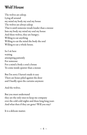# Wolf House

The wolves are asleep. Lying all around my mind my body my soul my house The wolves are always asleep That is until someone treads louder than a mouse Into my body my mind my soul my house And these wolves, they are hungry; Willing to eat anything Willing to eat the mind the body the soul Willing to eat a whole house.

So I sit here waiting attempting patiently For someone For a mind a body a soul a house To come inside quieter than a mouse

But I'm sorry I haven't made it easy There are boxes piled against the door and I hardly open the curtains anymore

And the wolves.

But you must understand they are the only ones to keep me company over the cold cold nights and these long long years And what then if they are gone? Will you stay?

It is a delicate matter.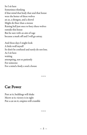So I sit here Sometimes thinking if that mind that body that soul that house were the better of these wolves an ax, a shotgun, and a shovel Might do finer than a mouse Raising hell just once to bury these wolves outside this house But be sure with an aim of rage because a mark off and I will go astray.

And these days I might look A little wolf myself So don't be confused and surely do not lose. As I sit here waiting attempting, not so patiently For someone For a mind a body a soul a house

 $\sim\sim\sim$ 

#### Cat Power

Purr at it; buildings will shake Meow at it; victory is in sight Put a cat on it; empires will crumble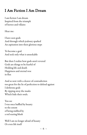# I Am Fiction I Am Dream

I am fiction I am dream Inspired from the triumph of heroes and villains

Hear me:

I have seen gods And through which jealousy sparked An aspiration into their glorious steps

To become a god. And seek only what is unseekable

But then I realize how gods aren't revered Gods are things to be fearful of Holding life and death Happiness and eternal woe in flux

And so now with a cleaver of contradiction too great for the lie of perfection to defend against I dethrone gods By ripping away the masks Which hide their souls.

You see I was once baffled by beauty to the extent of being stabbed by a red searing blush

Well I am no longer afraid of beauty Or even life itself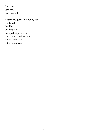I am here I am now I am inspired

Within the gaze of a shooting star I will crash I will burn I will regrow in imperfect perfection And realize new intricacies within this fiction within this dream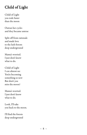# Child of Light

Child of Light you rode faster than the moon

Outran her cycles and they became untrue

Split off from rationale and made love to the lush forests deep underground

Mama's worried. I just don't know what to do.

Child of Light I can almost see You're becoming something so new But don't you miss the moon?

Mama's worried. I just don't know what to do.

Look, I'll take you back to the moon.

I'll find the forests deep underground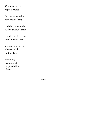Wouldn't you be happier there?

But mama wouldn't have none of that,

said she wasn't ready said you weren't ready

sent down a hurricane to swoop you away

You can't outrun this There won't be nothing left

Except my memories of the possibilities of you.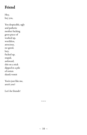# Friend

Hey, hey you,

You despicable, ugly and pathetic mother fucking gross piece of washed up, worthless, atrocious, no-good, lazy, fucked up, stupid, awkward, shit on a stick dipped in a pile of rotten skunk vomit

You're just like me, aren't you?

Let's be friends!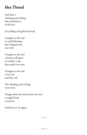# Idea Thread

And then a whirling and twirling idea smacked me in the face.

I'm pulling a long black thread.

I imagine at the end is a pink flamingo that will grant me one wish.

I imagine at the end is beauty still upset at itself for a day that ended too soon.

I imagine at the end is the end and that's all.

The whirling and twirling went away.

I forgot about the thread that was now a tangled heap at my feet.

And here we are again.

 $\sim\!\sim\!\sim$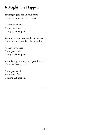# It Might Just Happen

You might get a fish in your pants if you use the ocean as a blanket.

Aren't you worried? Aren't you afraid? It might just happen!

You might get a bear caught in your hair if you use the forest like a beauty salon.

Aren't you worried? Aren't you afraid? It might just happen!

You might get a wingnut in your house if you use the city at all.

Aren't you worried? Aren't you afraid? It might just happen!

 $\sim\!\sim\!\sim$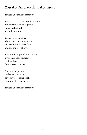# You Are An Excellent Architect

You are an excellent architect

You've taken each broken relationship, and mortared them together into a perfect wall around your heart.

You've wired together a beautiful fence of neurons to keep in the beasts of hate and out the lore of love.

You've built a special mechanism, a twitch in your muscles, to show how disinterested you are.

And you dug a trench to deepen the pitch of your voice just enough to sound like a sociopath.

You are an excellent architect.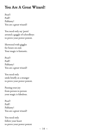# You Are A Great Wizard!

Poof! Puff! Pablamy! You are a great wizard!

You need only say 'penis' around a gaggle of schoolboys to prove your power potent.

Showered with giggles for hours on end. Your magic is fantastic.

Poof! Puff! Pablamy! You are a great wizard!

You need only smile briefly at a stranger to prove your power potent.

Passing your joy from person to person your magic is fabulous.

Poof! Puff! Pablamy! You are a great wizard!

You need only follow your heart to prove your power potent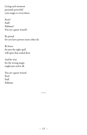Living each moment presently powerful your magic is everywhere.

Poof! Puff! Pablamy! You are a great wizard!

Be proud for you have powers none other do

Be brave for just the right spell will open that sealed door

And be wise for the wrong magic might just end it all.

You are a great wizard. Poof Puff Pablamy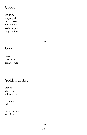#### Cocoon

I'm going to wrap myself into a cocoon and pop out as the biggest brightest flower.

 $\sim\sim\sim$ 

# Sand

I was chewing on grains of sand

 $\sim\sim\sim$ 

# Golden Ticket

I found a beautiful golden ticket,

it is a first class ticket,

to get the fuck away from you.

 $\sim\sim\sim$ 

#### $\sim$  16  $\sim$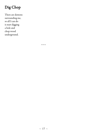# Dig Chop

There are demons surrounding me, so all I can do is start digging a hole and chop wood underground.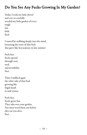# Do You See Any Fucks Growing In My Garden?

Today, I took my little shovel and ever so carefully weeded my little garden of every single last little fuck.

I started by stabbing deeply into the mind, loosening the roots of that fuck that grew like hot jealousy in late summer

Fuck fact: Fucks spread through root, seed, and invisibility Fact.

Then I stabbed again the other side of that fuck growing like frigid death in mid winter.

Fuck fact: Fucks grow fast. They take over your garden. You must weed them out before they eat you alive. Fact.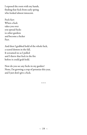I exposed the roots with my hands, finding that fuck from early spring who looked almost innocent.

Fuck fact: When a fuck takes you over you spread fucks to other gardens and become a fucker Fact.

And then I grabbed hold of the whole fuck, a scared demon in the fall, It screamed no as I pulled and I threw that fuck in the fire before it could grab hold.

Now do you see any fucks in my garden? None, I'm growing a crop of petunias this year, and I just don't give a fuck.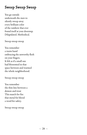# Sweep Sweep Sweep

You go outside underneath the stars to silently sweep away every brilliant color of the rainbow that ever found itself at your doorstep. Dilapidated. Methodical.

Sweep sweep sweep

You remember a warm hand embracing the unworthy flesh on your fingers. It felt as if a small sun had blossomed in that space between and warmed the whole neighborhood.

Sweep sweep sweep

You remember the thin line between a demon and trust This match for fire that metal for blood a word for safety.

Sweep sweep sweep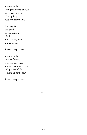You remember laying cozily underneath soft sheets, moving oh so quietly to keep her dream alive.

A mossy forest in a bowl, sewn up strands of fabric, and so many little animal bones.

Sweep sweep sweep

You remember mother fucking sweep sweep sweep and are glad that broom isn't perfect while looking up at the stars.

Sweep sweep sweep